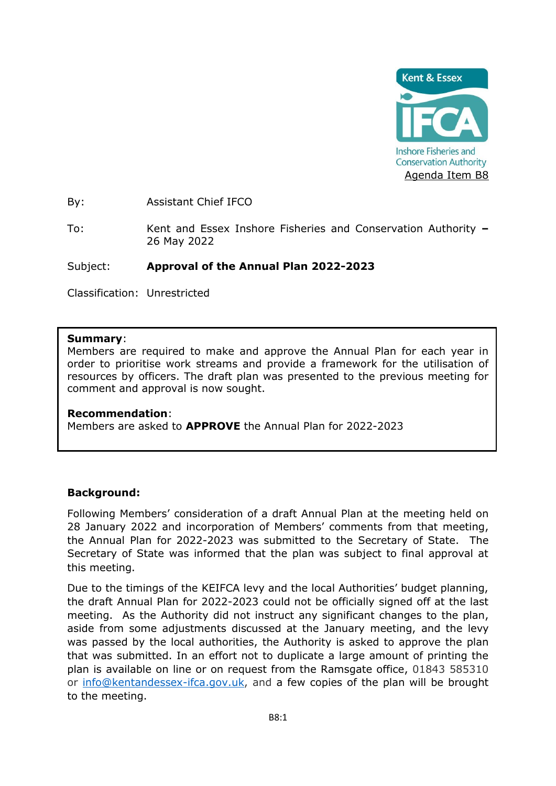

By: Assistant Chief IFCO

To: Kent and Essex Inshore Fisheries and Conservation Authority **–** 26 May 2022

#### Subject: **Approval of the Annual Plan 2022-2023**

Classification: Unrestricted

#### **Summary**:

Members are required to make and approve the Annual Plan for each year in order to prioritise work streams and provide a framework for the utilisation of resources by officers. The draft plan was presented to the previous meeting for comment and approval is now sought.

#### **Recommendation**:

Members are asked to **APPROVE** the Annual Plan for 2022-2023

## **Background:**

Following Members' consideration of a draft Annual Plan at the meeting held on 28 January 2022 and incorporation of Members' comments from that meeting, the Annual Plan for 2022-2023 was submitted to the Secretary of State. The Secretary of State was informed that the plan was subject to final approval at this meeting.

Due to the timings of the KEIFCA levy and the local Authorities' budget planning, the draft Annual Plan for 2022-2023 could not be officially signed off at the last meeting. As the Authority did not instruct any significant changes to the plan, aside from some adjustments discussed at the January meeting, and the levy was passed by the local authorities, the Authority is asked to approve the plan that was submitted. In an effort not to duplicate a large amount of printing the plan is available on line or on request from the Ramsgate office, 01843 585310 or [info@kentandessex-ifca.gov.uk,](mailto:info@kentandessex-ifca.gov.uk) and a few copies of the plan will be brought to the meeting.